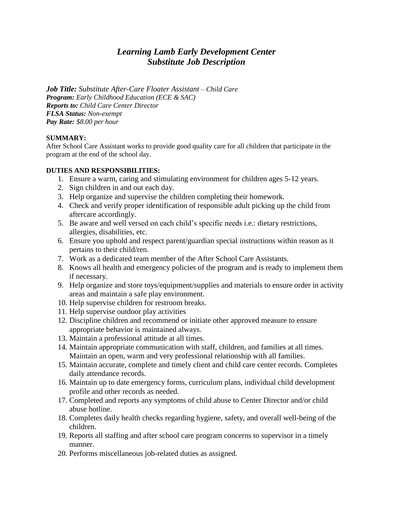# *Learning Lamb Early Development Center Substitute Job Description*

*Job Title: Substitute After-Care Floater Assistant – Child Care Program: Early Childhood Education (ECE & SAC) Reports to: Child Care Center Director FLSA Status: Non-exempt Pay Rate: \$8.00 per hour*

#### **SUMMARY:**

After School Care Assistant works to provide good quality care for all children that participate in the program at the end of the school day.

#### **DUTIES AND RESPONSIBILITIES:**

- 1. Ensure a warm, caring and stimulating environment for children ages 5-12 years.
- 2. Sign children in and out each day.
- 3. Help organize and supervise the children completing their homework.
- 4. Check and verify proper identification of responsible adult picking up the child from aftercare accordingly.
- 5. Be aware and well versed on each child's specific needs i.e.: dietary restrictions, allergies, disabilities, etc.
- 6. Ensure you uphold and respect parent/guardian special instructions within reason as it pertains to their child/ren.
- 7. Work as a dedicated team member of the After School Care Assistants.
- 8. Knows all health and emergency policies of the program and is ready to implement them if necessary.
- 9. Help organize and store toys/equipment/supplies and materials to ensure order in activity areas and maintain a safe play environment.
- 10. Help supervise children for restroom breaks.
- 11. Help supervise outdoor play activities
- 12. Discipline children and recommend or initiate other approved measure to ensure appropriate behavior is maintained always.
- 13. Maintain a professional attitude at all times.
- 14. Maintain appropriate communication with staff, children, and families at all times. Maintain an open, warm and very professional relationship with all families.
- 15. Maintain accurate, complete and timely client and child care center records. Completes daily attendance records.
- 16. Maintain up to date emergency forms, curriculum plans, individual child development profile and other records as needed.
- 17. Completed and reports any symptoms of child abuse to Center Director and/or child abuse hotline.
- 18. Completes daily health checks regarding hygiene, safety, and overall well-being of the children.
- 19. Reports all staffing and after school care program concerns to supervisor in a timely manner.
- 20. Performs miscellaneous job-related duties as assigned.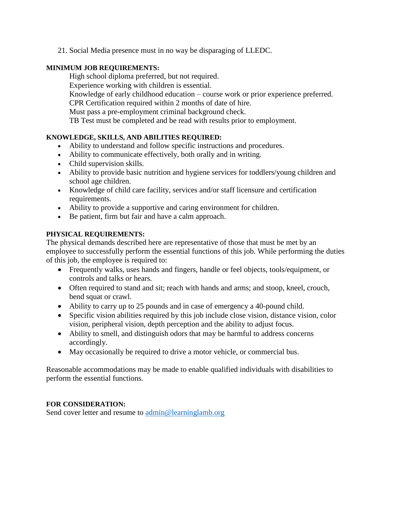21. Social Media presence must in no way be disparaging of LLEDC.

### **MINIMUM JOB REQUIREMENTS:**

High school diploma preferred, but not required. Experience working with children is essential. Knowledge of early childhood education – course work or prior experience preferred. CPR Certification required within 2 months of date of hire. Must pass a pre-employment criminal background check. TB Test must be completed and be read with results prior to employment.

# **KNOWLEDGE, SKILLS, AND ABILITIES REQUIRED:**

- Ability to understand and follow specific instructions and procedures.
- Ability to communicate effectively, both orally and in writing.
- Child supervision skills.
- Ability to provide basic nutrition and hygiene services for toddlers/young children and school age children.
- Knowledge of child care facility, services and/or staff licensure and certification requirements.
- Ability to provide a supportive and caring environment for children.
- Be patient, firm but fair and have a calm approach.

# **PHYSICAL REQUIREMENTS:**

The physical demands described here are representative of those that must be met by an employee to successfully perform the essential functions of this job. While performing the duties of this job, the employee is required to:

- Frequently walks, uses hands and fingers, handle or feel objects, tools/equipment, or controls and talks or hears.
- Often required to stand and sit; reach with hands and arms; and stoop, kneel, crouch, bend squat or crawl.
- Ability to carry up to 25 pounds and in case of emergency a 40-pound child.
- Specific vision abilities required by this job include close vision, distance vision, color vision, peripheral vision, depth perception and the ability to adjust focus.
- Ability to smell, and distinguish odors that may be harmful to address concerns accordingly.
- May occasionally be required to drive a motor vehicle, or commercial bus.

Reasonable accommodations may be made to enable qualified individuals with disabilities to perform the essential functions.

# **FOR CONSIDERATION:**

Send cover letter and resume to [admin@learninglamb.org](mailto:admin@learninglamb.org)